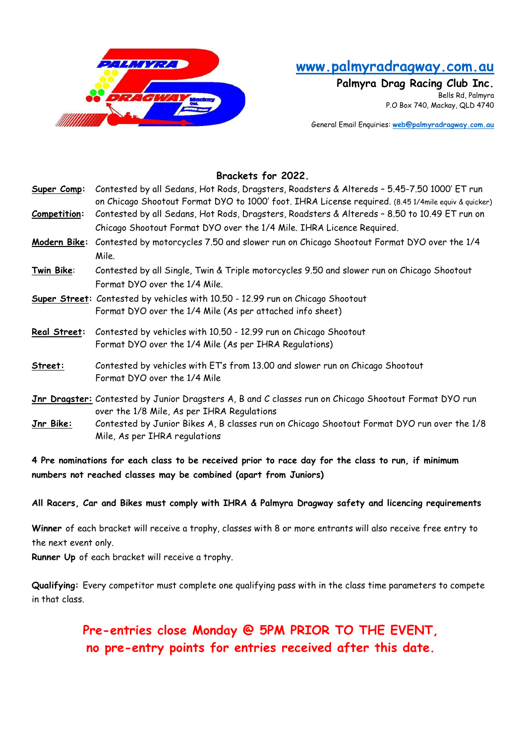

## www.palmyradragway.com.au

Palmyra Drag Racing Club Inc. Bells Rd, Palmyra P.O Box 740, Mackay, QLD 4740

General Email Enquiries: web@palmyradragway.com.au

## Brackets for 2022.

| Super Comp:      | Contested by all Sedans, Hot Rods, Dragsters, Roadsters & Altereds - 5.45-7.50 1000' ET run<br>on Chicago Shootout Format DYO to 1000' foot. IHRA License required. (8.45 1/4mile equiv & quicker) |  |  |  |  |
|------------------|----------------------------------------------------------------------------------------------------------------------------------------------------------------------------------------------------|--|--|--|--|
| Competition:     | Contested by all Sedans, Hot Rods, Dragsters, Roadsters & Altereds - 8.50 to 10.49 ET run on                                                                                                       |  |  |  |  |
|                  | Chicago Shootout Format DYO over the 1/4 Mile. IHRA Licence Required.                                                                                                                              |  |  |  |  |
|                  | Modern Bike: Contested by motorcycles 7.50 and slower run on Chicago Shootout Format DYO over the 1/4                                                                                              |  |  |  |  |
|                  | Mile.                                                                                                                                                                                              |  |  |  |  |
| Twin Bike:       | Contested by all Single, Twin & Triple motorcycles 9.50 and slower run on Chicago Shootout                                                                                                         |  |  |  |  |
|                  | Format DYO over the 1/4 Mile.                                                                                                                                                                      |  |  |  |  |
|                  | Super Street: Contested by vehicles with 10.50 - 12.99 run on Chicago Shootout                                                                                                                     |  |  |  |  |
|                  | Format DYO over the 1/4 Mile (As per attached info sheet)                                                                                                                                          |  |  |  |  |
| Real Street:     | Contested by vehicles with 10.50 - 12.99 run on Chicago Shootout                                                                                                                                   |  |  |  |  |
|                  | Format DYO over the 1/4 Mile (As per IHRA Regulations)                                                                                                                                             |  |  |  |  |
| Street:          | Contested by vehicles with ET's from 13.00 and slower run on Chicago Shootout                                                                                                                      |  |  |  |  |
|                  | Format DYO over the 1/4 Mile                                                                                                                                                                       |  |  |  |  |
|                  | Jnr Dragster: Contested by Junior Dragsters A, B and C classes run on Chicago Shootout Format DYO run                                                                                              |  |  |  |  |
|                  | over the 1/8 Mile, As per IHRA Regulations                                                                                                                                                         |  |  |  |  |
| <u>Jnr Bike:</u> | Contested by Junior Bikes A, B classes run on Chicago Shootout Format DYO run over the 1/8                                                                                                         |  |  |  |  |
|                  | Mile, As per IHRA regulations                                                                                                                                                                      |  |  |  |  |

4 Pre nominations for each class to be received prior to race day for the class to run, if minimum numbers not reached classes may be combined (apart from Juniors)

All Racers, Car and Bikes must comply with IHRA & Palmyra Dragway safety and licencing requirements

Winner of each bracket will receive a trophy, classes with 8 or more entrants will also receive free entry to the next event only.

Runner Up of each bracket will receive a trophy.

Qualifying: Every competitor must complete one qualifying pass with in the class time parameters to compete in that class.

> Pre-entries close Monday @ 5PM PRIOR TO THE EVENT, no pre-entry points for entries received after this date.